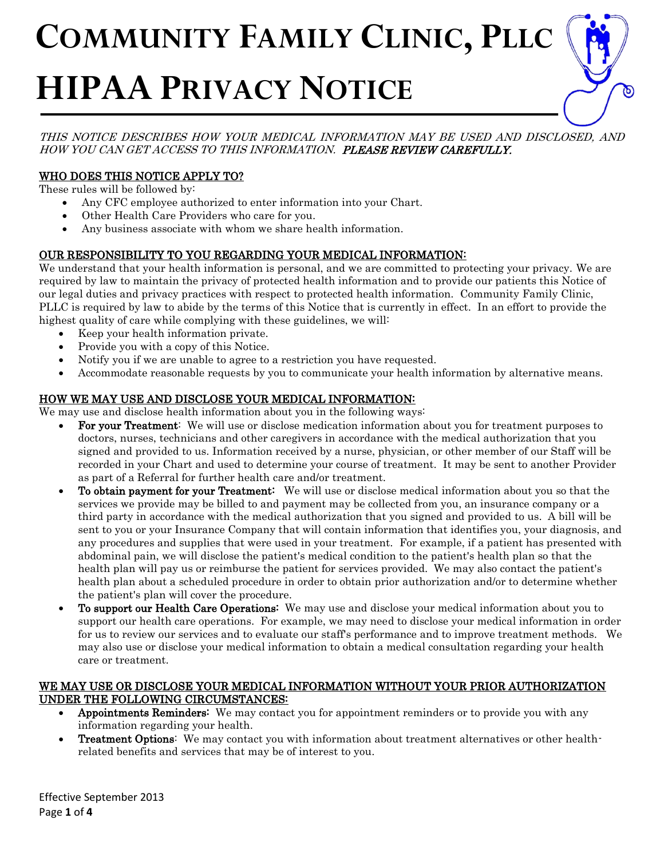# **COMMUNITY FAMILY CLINIC, PLLC**  $\overline{a}$ l, **HIPAA PRIVACY NOTICE**

THIS NOTICE DESCRIBES HOW YOUR MEDICAL INFORMATION MAY BE USED AND DISCLOSED, AND HOW YOU CAN GET ACCESS TO THIS INFORMATION. PLEASE REVIEW CAREFULLY.

## WHO DOES THIS NOTICE APPLY TO?

These rules will be followed by:

- Any CFC employee authorized to enter information into your Chart.
- Other Health Care Providers who care for you.
- Any business associate with whom we share health information.

## OUR RESPONSIBILITY TO YOU REGARDING YOUR MEDICAL INFORMATION:

We understand that your health information is personal, and we are committed to protecting your privacy. We are required by law to maintain the privacy of protected health information and to provide our patients this Notice of our legal duties and privacy practices with respect to protected health information. Community Family Clinic, PLLC is required by law to abide by the terms of this Notice that is currently in effect. In an effort to provide the highest quality of care while complying with these guidelines, we will:

- Keep your health information private.
- Provide you with a copy of this Notice.
- Notify you if we are unable to agree to a restriction you have requested.
- Accommodate reasonable requests by you to communicate your health information by alternative means.

# HOW WE MAY USE AND DISCLOSE YOUR MEDICAL INFORMATION:

We may use and disclose health information about you in the following ways:

- For your Treatment: We will use or disclose medication information about you for treatment purposes to doctors, nurses, technicians and other caregivers in accordance with the medical authorization that you signed and provided to us. Information received by a nurse, physician, or other member of our Staff will be recorded in your Chart and used to determine your course of treatment. It may be sent to another Provider as part of a Referral for further health care and/or treatment.
- To obtain payment for your Treatment: We will use or disclose medical information about you so that the services we provide may be billed to and payment may be collected from you, an insurance company or a third party in accordance with the medical authorization that you signed and provided to us. A bill will be sent to you or your Insurance Company that will contain information that identifies you, your diagnosis, and any procedures and supplies that were used in your treatment. For example, if a patient has presented with abdominal pain, we will disclose the patient's medical condition to the patient's health plan so that the health plan will pay us or reimburse the patient for services provided. We may also contact the patient's health plan about a scheduled procedure in order to obtain prior authorization and/or to determine whether the patient's plan will cover the procedure.
- To support our Health Care Operations: We may use and disclose your medical information about you to support our health care operations. For example, we may need to disclose your medical information in order for us to review our services and to evaluate our staff's performance and to improve treatment methods. We may also use or disclose your medical information to obtain a medical consultation regarding your health care or treatment.

### WE MAY USE OR DISCLOSE YOUR MEDICAL INFORMATION WITHOUT YOUR PRIOR AUTHORIZATION UNDER THE FOLLOWING CIRCUMSTANCES:

- Appointments Reminders: We may contact you for appointment reminders or to provide you with any information regarding your health.
- Treatment Options: We may contact you with information about treatment alternatives or other healthrelated benefits and services that may be of interest to you.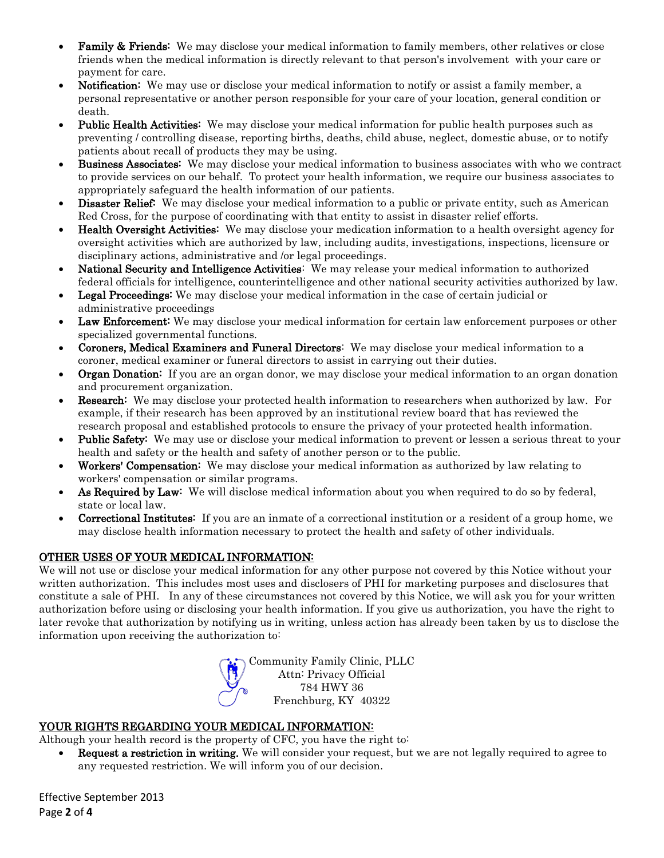- **Family & Friends:** We may disclose your medical information to family members, other relatives or close friends when the medical information is directly relevant to that person's involvement with your care or payment for care.
- **Notification:** We may use or disclose your medical information to notify or assist a family member, a personal representative or another person responsible for your care of your location, general condition or death.
- Public Health Activities: We may disclose your medical information for public health purposes such as preventing / controlling disease, reporting births, deaths, child abuse, neglect, domestic abuse, or to notify patients about recall of products they may be using.
- Business Associates: We may disclose your medical information to business associates with who we contract to provide services on our behalf. To protect your health information, we require our business associates to appropriately safeguard the health information of our patients.
- **Disaster Relief:** We may disclose your medical information to a public or private entity, such as American Red Cross, for the purpose of coordinating with that entity to assist in disaster relief efforts.
- Health Oversight Activities: We may disclose your medication information to a health oversight agency for oversight activities which are authorized by law, including audits, investigations, inspections, licensure or disciplinary actions, administrative and /or legal proceedings.
- National Security and Intelligence Activities: We may release your medical information to authorized federal officials for intelligence, counterintelligence and other national security activities authorized by law.
- Legal Proceedings: We may disclose your medical information in the case of certain judicial or administrative proceedings
- Law Enforcement: We may disclose your medical information for certain law enforcement purposes or other specialized governmental functions.
- Coroners, Medical Examiners and Funeral Directors: We may disclose your medical information to a coroner, medical examiner or funeral directors to assist in carrying out their duties.
- **Organ Donation:** If you are an organ donor, we may disclose your medical information to an organ donation and procurement organization.
- **Research:** We may disclose your protected health information to researchers when authorized by law. For example, if their research has been approved by an institutional review board that has reviewed the research proposal and established protocols to ensure the privacy of your protected health information.
- **Public Safety:** We may use or disclose your medical information to prevent or lessen a serious threat to your health and safety or the health and safety of another person or to the public.
- Workers' Compensation: We may disclose your medical information as authorized by law relating to workers' compensation or similar programs.
- As Required by Law: We will disclose medical information about you when required to do so by federal, state or local law.
- Correctional Institutes: If you are an inmate of a correctional institution or a resident of a group home, we may disclose health information necessary to protect the health and safety of other individuals.

# OTHER USES OF YOUR MEDICAL INFORMATION:

We will not use or disclose your medical information for any other purpose not covered by this Notice without your written authorization. This includes most uses and disclosers of PHI for marketing purposes and disclosures that constitute a sale of PHI. In any of these circumstances not covered by this Notice, we will ask you for your written authorization before using or disclosing your health information. If you give us authorization, you have the right to later revoke that authorization by notifying us in writing, unless action has already been taken by us to disclose the information upon receiving the authorization to:



# YOUR RIGHTS REGARDING YOUR MEDICAL INFORMATION:

Although your health record is the property of CFC, you have the right to:

• Request a restriction in writing. We will consider your request, but we are not legally required to agree to any requested restriction. We will inform you of our decision.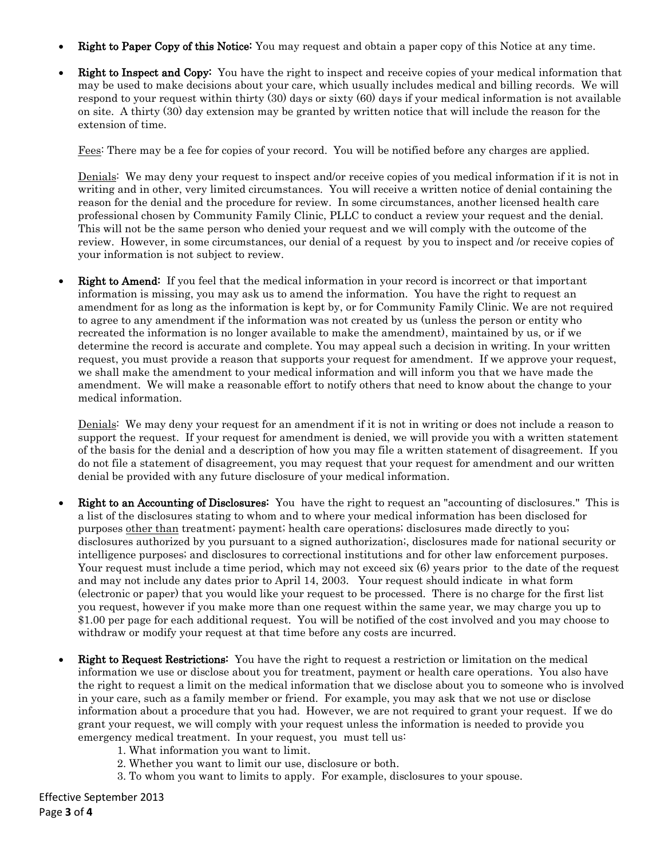- **Right to Paper Copy of this Notice:** You may request and obtain a paper copy of this Notice at any time.
- Right to Inspect and Copy: You have the right to inspect and receive copies of your medical information that may be used to make decisions about your care, which usually includes medical and billing records. We will respond to your request within thirty (30) days or sixty (60) days if your medical information is not available on site. A thirty (30) day extension may be granted by written notice that will include the reason for the extension of time.

Fees: There may be a fee for copies of your record. You will be notified before any charges are applied.

Denials: We may deny your request to inspect and/or receive copies of you medical information if it is not in writing and in other, very limited circumstances. You will receive a written notice of denial containing the reason for the denial and the procedure for review. In some circumstances, another licensed health care professional chosen by Community Family Clinic, PLLC to conduct a review your request and the denial. This will not be the same person who denied your request and we will comply with the outcome of the review. However, in some circumstances, our denial of a request by you to inspect and /or receive copies of your information is not subject to review.

**Right to Amend:** If you feel that the medical information in your record is incorrect or that important information is missing, you may ask us to amend the information. You have the right to request an amendment for as long as the information is kept by, or for Community Family Clinic. We are not required to agree to any amendment if the information was not created by us (unless the person or entity who recreated the information is no longer available to make the amendment), maintained by us, or if we determine the record is accurate and complete. You may appeal such a decision in writing. In your written request, you must provide a reason that supports your request for amendment. If we approve your request, we shall make the amendment to your medical information and will inform you that we have made the amendment. We will make a reasonable effort to notify others that need to know about the change to your medical information.

Denials: We may deny your request for an amendment if it is not in writing or does not include a reason to support the request. If your request for amendment is denied, we will provide you with a written statement of the basis for the denial and a description of how you may file a written statement of disagreement. If you do not file a statement of disagreement, you may request that your request for amendment and our written denial be provided with any future disclosure of your medical information.

- Right to an Accounting of Disclosures: You have the right to request an "accounting of disclosures." This is a list of the disclosures stating to whom and to where your medical information has been disclosed for purposes other than treatment; payment; health care operations; disclosures made directly to you; disclosures authorized by you pursuant to a signed authorization;, disclosures made for national security or intelligence purposes; and disclosures to correctional institutions and for other law enforcement purposes. Your request must include a time period, which may not exceed six (6) years prior to the date of the request and may not include any dates prior to April 14, 2003. Your request should indicate in what form (electronic or paper) that you would like your request to be processed. There is no charge for the first list you request, however if you make more than one request within the same year, we may charge you up to \$1.00 per page for each additional request. You will be notified of the cost involved and you may choose to withdraw or modify your request at that time before any costs are incurred.
- Right to Request Restrictions: You have the right to request a restriction or limitation on the medical information we use or disclose about you for treatment, payment or health care operations. You also have the right to request a limit on the medical information that we disclose about you to someone who is involved in your care, such as a family member or friend. For example, you may ask that we not use or disclose information about a procedure that you had. However, we are not required to grant your request. If we do grant your request, we will comply with your request unless the information is needed to provide you emergency medical treatment. In your request, you must tell us:
	- 1. What information you want to limit.
	- 2. Whether you want to limit our use, disclosure or both.
	- 3. To whom you want to limits to apply. For example, disclosures to your spouse.

Effective September 2013 Page **3** of **4**